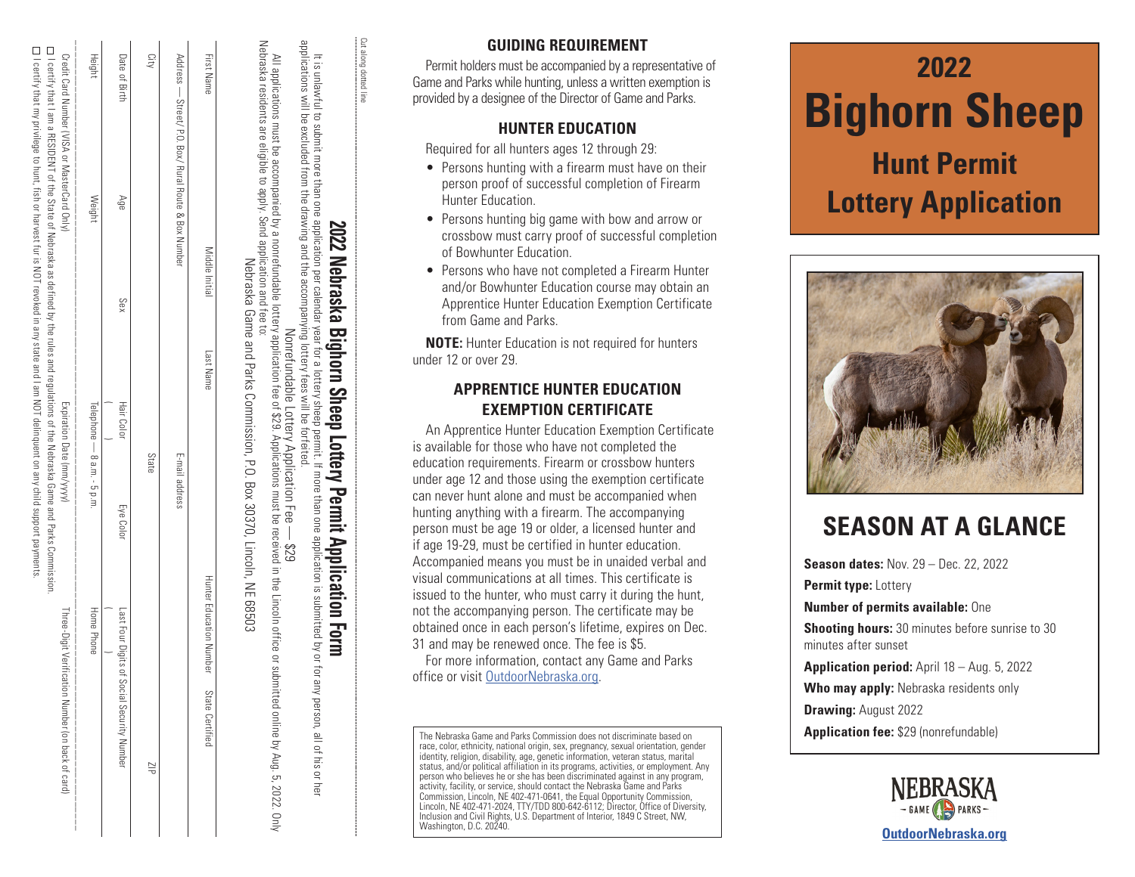| Heigh                                                                         | Weigh                 | Telephone — 8 a.m. - 5 p.m.                                                                                                                          | Ï<br><b>Iome Phone</b>                                                                        |
|-------------------------------------------------------------------------------|-----------------------|------------------------------------------------------------------------------------------------------------------------------------------------------|-----------------------------------------------------------------------------------------------|
| I<br>Credit Card Number (MJSA or MasterCard Onl<br>I<br>I<br>ļ<br>I<br>I<br>ļ | I<br> <br> <br>ļ<br>ļ | I<br>Expiration Date (HIH)<br>I<br>I<br>I                                                                                                            | Thee-Digit Nerificatio<br>I<br>ı<br>I<br> <br> -<br> <br> <br> <br> <br> <br> <br>ì<br>3<br>ı |
|                                                                               |                       | □ I certify that I am RESIDENT of the State of Nebraska as defined by the rules and requiations of the Nebraska Game and Parks Commission.□          |                                                                                               |
|                                                                               |                       | $\square$ roeftify that my privilege to hunt, fish of harvest fur is NOT revoked in any state and I am NOT delinquent on any child support payments. |                                                                                               |

|                          | Address — Street/ F.O. Box/ Rural Route & Box Number |     |                             | E-mail address |                                                     |
|--------------------------|------------------------------------------------------|-----|-----------------------------|----------------|-----------------------------------------------------|
| City                     |                                                      |     | State                       |                | $\frac{1}{2}$                                       |
| Date of Birth            | Age                                                  | Sex | <b>Hair Color</b>           | Eye Color      | Last Four Digits<br><b>H</b> Social Security Number |
| Height                   | Weight                                               |     | Telephone — 8 a.m. - 5 p.m. |                | Home Phone                                          |
| <br> <br> <br> <br> <br> |                                                      |     |                             |                |                                                     |

| Nehraska residents are elicible to annication annication and fee to:<br>All depirations and the procedure of the second properties of the control of the control of the construction of the control of the control of the control of $\alpha$ is a point of the control of $\alpha$ is a point of the control<br>Monrefundable Lottery Application Fee -- \$29<br>nline by Aug. 5, 2022. On | <b>2002 - Ann ann am 2002 Nebita SKG Digitulii Ditedi Lutic y Feilili Application Tutili.</b><br>It is unlawful to submit more than one relandar year for a lottery sheep permit. If more than one application is submitted by or for |  |
|---------------------------------------------------------------------------------------------------------------------------------------------------------------------------------------------------------------------------------------------------------------------------------------------------------------------------------------------------------------------------------------------|---------------------------------------------------------------------------------------------------------------------------------------------------------------------------------------------------------------------------------------|--|
|                                                                                                                                                                                                                                                                                                                                                                                             |                                                                                                                                                                                                                                       |  |

Nebraska Game and Parks Commission, P.O. Box 30370, Lincoln, NE 68503

and Parks Commission, P.O. Box 30370, Lincoln, NE 68503

Nebraska residents are eligible to apply. Send application and fee to:

nonrefundable lottery application<br>d application and fee to:<br>Nebraska Game and Park

e accompanied by a r<br>gible to apply. Send a

Nebraska

residents are

 $\overline{\mathbb{P}}$ ligible

First Name

First Name

Middle Initial

Middle Initial

Last Name

Last Name State Certified Number State Certified Number State Certified

Hunter Education Number

State Certified

**2022 Nebraska Bighorn Sheep Lottery Permit Application Form**

# Prahol Nokra i<br>S 문  $\frac{1}{2}$ ۰  $\ddot{\ddot{\ddot{\bf{r}}}$ ò ļ  $\sum_{i=1}^{n}$ unite' ņ

# Cut along dotted line  $\overline{5}$

Cut along dotted

# **GUIDING REQUIREMENT**

Permit holders must be accompanied by a representative of Game and Parks while hunting, unless a written exemption is provided by a designee of the Director of Game and Parks.

### **HUNTER EDUCATION**

Required for all hunters ages 12 through 29:

- Persons hunting with a firearm must have on their person proof of successful completion of Firearm Hunter Education.
- Persons hunting big game with bow and arrow or crossbow must carry proof of successful completion of Bowhunter Education.
- Persons who have not completed a Firearm Hunter and/or Bowhunter Education course may obtain an Apprentice Hunter Education Exemption Certificate from Game and Parks.

**NOTE:** Hunter Education is not required for hunters under 12 or over 29.

## **APPRENTICE HUNTER EDUCATION EXEMPTION CERTIFICATE**

An Apprentice Hunter Education Exemption Certificate is available for those who have not completed the education requirements. Firearm or crossbow hunters under age 12 and those using the exemption certificate can never hunt alone and must be accompanied when hunting anything with a firearm. The accompanying person must be age 19 or older, a licensed hunter and if age 19-29, must be certified in hunter education. Accompanied means you must be in unaided verbal and visual communications at all times. This certificate is issued to the hunter, who must carry it during the hunt, not the accompanying person. The certificate may be obtained once in each person's lifetime, expires on Dec. 31 and may be renewed once. The fee is \$5.

For more information, contact any Game and Parks office or visit OutdoorNebraska.org.

The Nebraska Game and Parks Commission does not discriminate based on race, color, ethnicity, national origin, sex, pregnancy, sexual orientation, gender identity, religion, disability, age, genetic information, veteran status, marital status, and/or political affiliation in its programs, activities, or employment. Any person who believes he or she has been discriminated against in any program, activity, facility, or service, should contact the Nebraska Game and Parks Commission, Lincoln, NE 402-471-0641, the Equal Opportunity Commission, Lincoln, NE 402-471-2024, TTY/TDD 800-642-6112; Director, Office of Diversity, Inclusion and Civil Rights, U.S. Department of Interior, 1849 C Street, NW, Washington, D.C. 20240.

# **2022 Bighorn Sheep Hunt Permit**

# **Lottery Application**



# **SEASON AT A GLANCE**

**Season dates:** Nov. 29 – Dec. 22, 2022 **Permit type:** Lottery **Number of permits available:** One **Shooting hours:** 30 minutes before sunrise to 30 minutes after sunset **Application period:** April 18 – Aug. 5, 2022 **Who may apply:** Nebraska residents only **Drawing:** August 2022 **Application fee:** \$29 (nonrefundable)